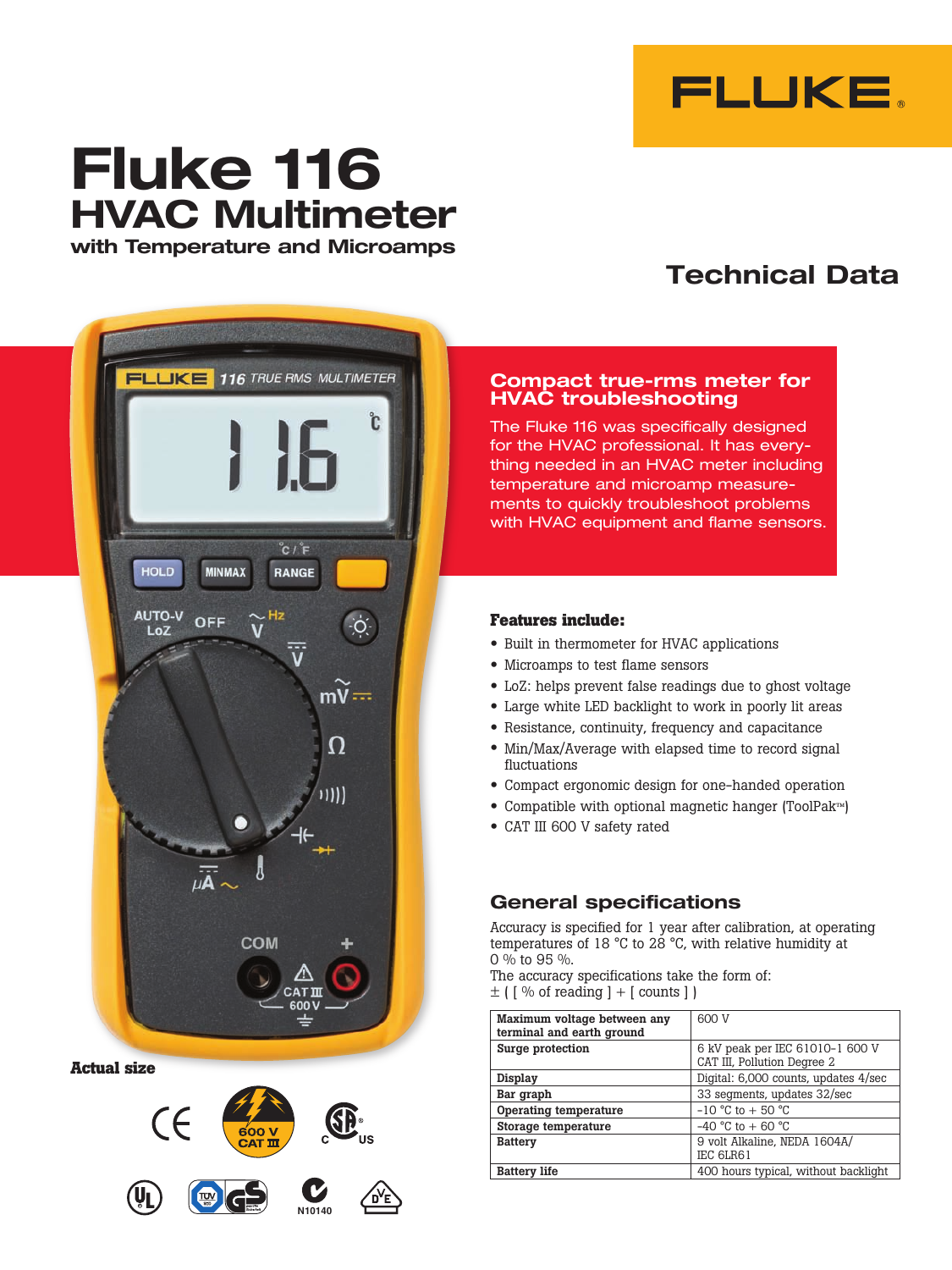

# **Fluke 116 HVAC Multimeter with Temperature and Microamps**

## **Technical Data**



**Actual size**



#### **Compact true-rms meter for HVAC troubleshooting**

The Fluke 116 was specifically designed for the HVAC professional. It has everything needed in an HVAC meter including temperature and microamp measurements to quickly troubleshoot problems with HVAC equipment and flame sensors.

### **Features include:**

- • Built in thermometer for HVAC applications
- Microamps to test flame sensors
- • LoZ: helps prevent false readings due to ghost voltage
- • Large white LED backlight to work in poorly lit areas
- Resistance, continuity, frequency and capacitance
- Min/Max/Average with elapsed time to record signal fluctuations
- • Compact ergonomic design for one-handed operation
- • Compatible with optional magnetic hanger (ToolPak™)
- CAT III 600 V safety rated

### **General specifications**

Accuracy is specified for 1 year after calibration, at operating temperatures of 18 °C to 28 °C, with relative humidity at 0 % to 95 %.

The accuracy specifications take the form of:  $\pm$  ( [ % of reading ] + [ counts ] )

| Maximum voltage between any<br>terminal and earth ground | 600 V                                                          |
|----------------------------------------------------------|----------------------------------------------------------------|
| Surge protection                                         | 6 kV peak per IEC 61010-1 600 V<br>CAT III, Pollution Degree 2 |
| Display                                                  | Digital: 6,000 counts, updates 4/sec                           |
| Bar graph                                                | 33 segments, updates 32/sec                                    |
| Operating temperature                                    | $-10$ °C to $+50$ °C                                           |
| Storage temperature                                      | $-40$ °C to $+60$ °C                                           |
| <b>Battery</b>                                           | 9 volt Alkaline, NEDA 1604A/<br>IEC 6LR61                      |
| <b>Battery life</b>                                      | 400 hours typical, without backlight                           |
|                                                          |                                                                |